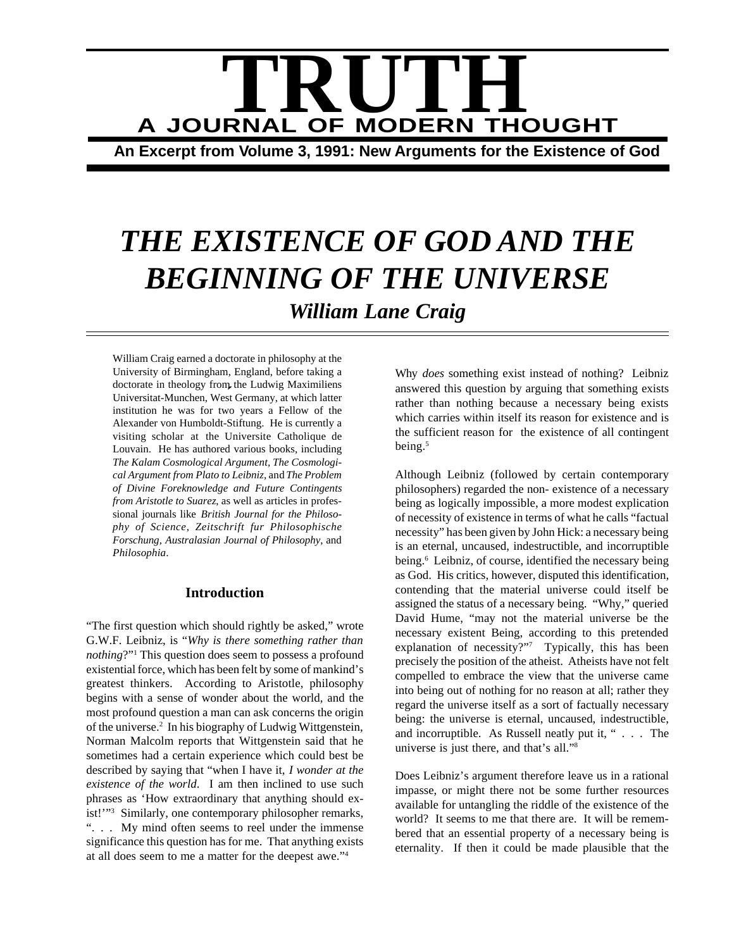# **A** JOURNAL OF MODERN THOUGHT

**An Excerpt from Volume 3, 1991: New Arguments for the Existence of God**

## *THE EXISTENCE OF GOD AND THE BEGINNING OF THE UNIVERSE William Lane Craig*

William Craig earned a doctorate in philosophy at the University of Birmingham, England, before taking a doctorate in theology from the Ludwig Maximiliens Universitat-Munchen, West Germany, at which latter ´ institution he was for two years a Fellow of the Alexander von Humboldt-Stiftung. He is currently a visiting scholar at the Universite Catholique de Louvain. He has authored various books, including *The Kalam Cosmological Argument, The Cosmological Argument from Plato to Leibniz,* and *The Problem of Divine Foreknowledge and Future Contingents from Aristotle to Suarez*, as well as articles in professional journals like *British Journal for the Philosophy of Science*, *Zeitschrift fur Philosophische Forschung*, *Australasian Journal of Philosophy*, and *Philosophia*.

#### **Introduction**

"The first question which should rightly be asked," wrote G.W.F. Leibniz, is "*Why is there something rather than nothing*?"1 This question does seem to possess a profound existential force, which has been felt by some of mankind's greatest thinkers. According to Aristotle, philosophy begins with a sense of wonder about the world, and the most profound question a man can ask concerns the origin of the universe.<sup>2</sup> In his biography of Ludwig Wittgenstein, Norman Malcolm reports that Wittgenstein said that he sometimes had a certain experience which could best be described by saying that "when I have it, *I wonder at the existence of the world*. I am then inclined to use such phrases as 'How extraordinary that anything should exist!"<sup>3</sup> Similarly, one contemporary philosopher remarks, ". . . My mind often seems to reel under the immense significance this question has for me. That anything exists at all does seem to me a matter for the deepest awe."4

Why *does* something exist instead of nothing? Leibniz answered this question by arguing that something exists rather than nothing because a necessary being exists which carries within itself its reason for existence and is the sufficient reason for the existence of all contingent being.5

Although Leibniz (followed by certain contemporary philosophers) regarded the non- existence of a necessary being as logically impossible, a more modest explication of necessity of existence in terms of what he calls "factual necessity" has been given by John Hick: a necessary being is an eternal, uncaused, indestructible, and incorruptible being.<sup>6</sup> Leibniz, of course, identified the necessary being as God. His critics, however, disputed this identification, contending that the material universe could itself be assigned the status of a necessary being. "Why," queried David Hume, "may not the material universe be the necessary existent Being, according to this pretended explanation of necessity?"<sup>7</sup> Typically, this has been precisely the position of the atheist. Atheists have not felt compelled to embrace the view that the universe came into being out of nothing for no reason at all; rather they regard the universe itself as a sort of factually necessary being: the universe is eternal, uncaused, indestructible, and incorruptible. As Russell neatly put it, " . . . The universe is just there, and that's all."8

Does Leibniz's argument therefore leave us in a rational impasse, or might there not be some further resources available for untangling the riddle of the existence of the world? It seems to me that there are. It will be remembered that an essential property of a necessary being is eternality. If then it could be made plausible that the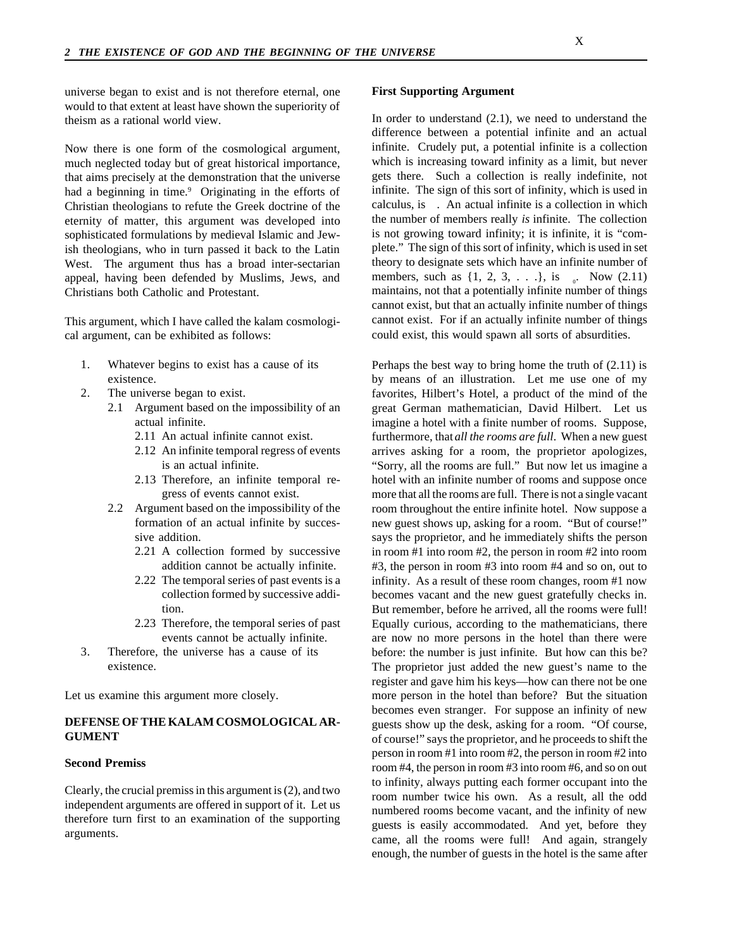universe began to exist and is not therefore eternal, one would to that extent at least have shown the superiority of theism as a rational world view.

Now there is one form of the cosmological argument, much neglected today but of great historical importance, that aims precisely at the demonstration that the universe had a beginning in time.<sup>9</sup> Originating in the efforts of Christian theologians to refute the Greek doctrine of the eternity of matter, this argument was developed into sophisticated formulations by medieval Islamic and Jewish theologians, who in turn passed it back to the Latin West. The argument thus has a broad inter-sectarian appeal, having been defended by Muslims, Jews, and Christians both Catholic and Protestant.

This argument, which I have called the kalam cosmological argument, can be exhibited as follows:

- 1. Whatever begins to exist has a cause of its existence.
- 2. The universe began to exist.
	- 2.1 Argument based on the impossibility of an actual infinite.
		- 2.11 An actual infinite cannot exist.
		- 2.12 An infinite temporal regress of events is an actual infinite.
		- 2.13 Therefore, an infinite temporal regress of events cannot exist.
	- 2.2 Argument based on the impossibility of the formation of an actual infinite by successive addition.
		- 2.21 A collection formed by successive addition cannot be actually infinite.
		- 2.22 The temporal series of past events is a collection formed by successive addition.
		- 2.23 Therefore, the temporal series of past events cannot be actually infinite.
- 3. Therefore, the universe has a cause of its existence.

Let us examine this argument more closely.

#### **DEFENSE OF THE KALAM COSMOLOGICAL AR-GUMENT**

#### **Second Premiss**

Clearly, the crucial premiss in this argument is (2), and two independent arguments are offered in support of it. Let us therefore turn first to an examination of the supporting arguments.

#### **First Supporting Argument**

In order to understand (2.1), we need to understand the difference between a potential infinite and an actual infinite. Crudely put, a potential infinite is a collection which is increasing toward infinity as a limit, but never gets there. Such a collection is really indefinite, not infinite. The sign of this sort of infinity, which is used in calculus, is . An actual infinite is a collection in which the number of members really *is* infinite. The collection is not growing toward infinity; it is infinite, it is "complete." The sign of this sort of infinity, which is used in set theory to designate sets which have an infinite number of members, such as  $\{1, 2, 3, \ldots\}$ , is  $_{0}$ . Now (2.11) maintains, not that a potentially infinite number of things cannot exist, but that an actually infinite number of things cannot exist. For if an actually infinite number of things could exist, this would spawn all sorts of absurdities.

Perhaps the best way to bring home the truth of (2.11) is by means of an illustration. Let me use one of my favorites, Hilbert's Hotel, a product of the mind of the great German mathematician, David Hilbert. Let us imagine a hotel with a finite number of rooms. Suppose, furthermore, that *all the rooms are full*. When a new guest arrives asking for a room, the proprietor apologizes, "Sorry, all the rooms are full." But now let us imagine a hotel with an infinite number of rooms and suppose once more that all the rooms are full. There is not a single vacant room throughout the entire infinite hotel. Now suppose a new guest shows up, asking for a room. "But of course!" says the proprietor, and he immediately shifts the person in room #1 into room #2, the person in room #2 into room #3, the person in room #3 into room #4 and so on, out to infinity. As a result of these room changes, room #1 now becomes vacant and the new guest gratefully checks in. But remember, before he arrived, all the rooms were full! Equally curious, according to the mathematicians, there are now no more persons in the hotel than there were before: the number is just infinite. But how can this be? The proprietor just added the new guest's name to the register and gave him his keys—how can there not be one more person in the hotel than before? But the situation becomes even stranger. For suppose an infinity of new guests show up the desk, asking for a room. "Of course, of course!" says the proprietor, and he proceeds to shift the person in room #1 into room #2, the person in room #2 into room #4, the person in room #3 into room #6, and so on out to infinity, always putting each former occupant into the room number twice his own. As a result, all the odd numbered rooms become vacant, and the infinity of new guests is easily accommodated. And yet, before they came, all the rooms were full! And again, strangely enough, the number of guests in the hotel is the same after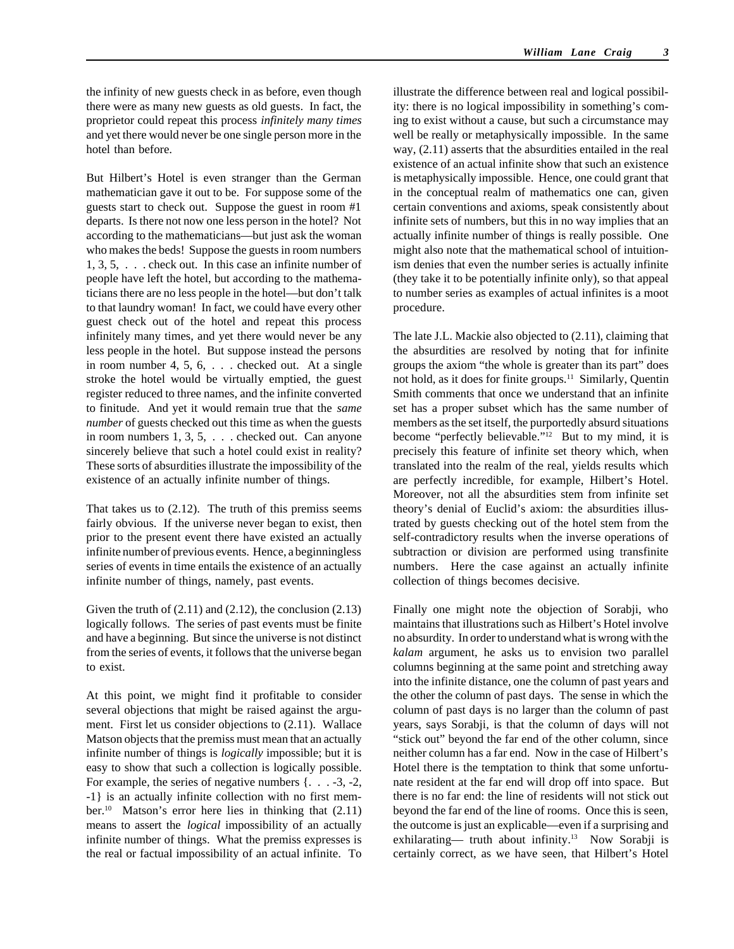the infinity of new guests check in as before, even though there were as many new guests as old guests. In fact, the proprietor could repeat this process *infinitely many times* and yet there would never be one single person more in the hotel than before.

But Hilbert's Hotel is even stranger than the German mathematician gave it out to be. For suppose some of the guests start to check out. Suppose the guest in room #1 departs. Is there not now one less person in the hotel? Not according to the mathematicians—but just ask the woman who makes the beds! Suppose the guests in room numbers 1, 3, 5, . . . check out. In this case an infinite number of people have left the hotel, but according to the mathematicians there are no less people in the hotel—but don't talk to that laundry woman! In fact, we could have every other guest check out of the hotel and repeat this process infinitely many times, and yet there would never be any less people in the hotel. But suppose instead the persons in room number 4, 5, 6, . . . checked out. At a single stroke the hotel would be virtually emptied, the guest register reduced to three names, and the infinite converted to finitude. And yet it would remain true that the *same number* of guests checked out this time as when the guests in room numbers 1, 3, 5, . . . checked out. Can anyone sincerely believe that such a hotel could exist in reality? These sorts of absurdities illustrate the impossibility of the existence of an actually infinite number of things.

That takes us to  $(2.12)$ . The truth of this premiss seems fairly obvious. If the universe never began to exist, then prior to the present event there have existed an actually infinite number of previous events. Hence, a beginningless series of events in time entails the existence of an actually infinite number of things, namely, past events.

Given the truth of  $(2.11)$  and  $(2.12)$ , the conclusion  $(2.13)$ logically follows. The series of past events must be finite and have a beginning. But since the universe is not distinct from the series of events, it follows that the universe began to exist.

At this point, we might find it profitable to consider several objections that might be raised against the argument. First let us consider objections to (2.11). Wallace Matson objects that the premiss must mean that an actually infinite number of things is *logically* impossible; but it is easy to show that such a collection is logically possible. For example, the series of negative numbers {. . . -3, -2, -1} is an actually infinite collection with no first member.<sup>10</sup> Matson's error here lies in thinking that (2.11) means to assert the *logical* impossibility of an actually infinite number of things. What the premiss expresses is the real or factual impossibility of an actual infinite. To illustrate the difference between real and logical possibility: there is no logical impossibility in something's coming to exist without a cause, but such a circumstance may well be really or metaphysically impossible. In the same way, (2.11) asserts that the absurdities entailed in the real existence of an actual infinite show that such an existence is metaphysically impossible. Hence, one could grant that in the conceptual realm of mathematics one can, given certain conventions and axioms, speak consistently about infinite sets of numbers, but this in no way implies that an actually infinite number of things is really possible. One might also note that the mathematical school of intuitionism denies that even the number series is actually infinite (they take it to be potentially infinite only), so that appeal to number series as examples of actual infinites is a moot procedure.

The late J.L. Mackie also objected to (2.11), claiming that the absurdities are resolved by noting that for infinite groups the axiom "the whole is greater than its part" does not hold, as it does for finite groups.<sup>11</sup> Similarly, Quentin Smith comments that once we understand that an infinite set has a proper subset which has the same number of members as the set itself, the purportedly absurd situations become "perfectly believable."<sup>12</sup> But to my mind, it is precisely this feature of infinite set theory which, when translated into the realm of the real, yields results which are perfectly incredible, for example, Hilbert's Hotel. Moreover, not all the absurdities stem from infinite set theory's denial of Euclid's axiom: the absurdities illustrated by guests checking out of the hotel stem from the self-contradictory results when the inverse operations of subtraction or division are performed using transfinite numbers. Here the case against an actually infinite collection of things becomes decisive.

Finally one might note the objection of Sorabji, who maintains that illustrations such as Hilbert's Hotel involve no absurdity. In order to understand what is wrong with the *kalam* argument, he asks us to envision two parallel columns beginning at the same point and stretching away into the infinite distance, one the column of past years and the other the column of past days. The sense in which the column of past days is no larger than the column of past years, says Sorabji, is that the column of days will not "stick out" beyond the far end of the other column, since neither column has a far end. Now in the case of Hilbert's Hotel there is the temptation to think that some unfortunate resident at the far end will drop off into space. But there is no far end: the line of residents will not stick out beyond the far end of the line of rooms. Once this is seen, the outcome is just an explicable—even if a surprising and exhilarating— truth about infinity.<sup>13</sup> Now Sorabji is certainly correct, as we have seen, that Hilbert's Hotel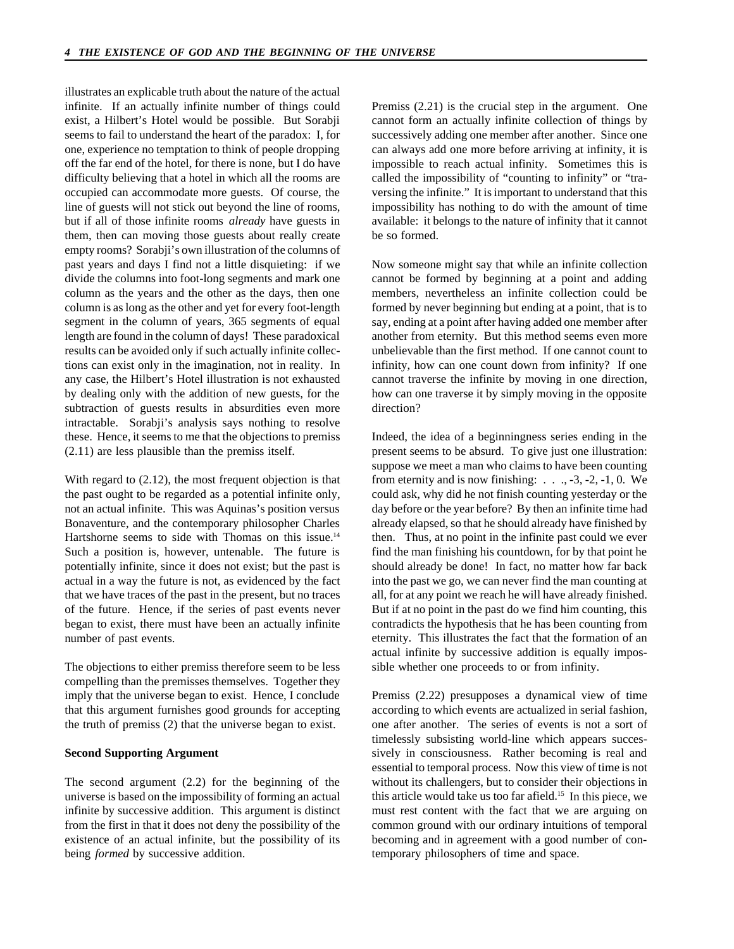illustrates an explicable truth about the nature of the actual infinite. If an actually infinite number of things could exist, a Hilbert's Hotel would be possible. But Sorabji seems to fail to understand the heart of the paradox: I, for one, experience no temptation to think of people dropping off the far end of the hotel, for there is none, but I do have difficulty believing that a hotel in which all the rooms are occupied can accommodate more guests. Of course, the line of guests will not stick out beyond the line of rooms, but if all of those infinite rooms *already* have guests in them, then can moving those guests about really create empty rooms? Sorabji's own illustration of the columns of past years and days I find not a little disquieting: if we divide the columns into foot-long segments and mark one column as the years and the other as the days, then one column is as long as the other and yet for every foot-length segment in the column of years, 365 segments of equal length are found in the column of days! These paradoxical results can be avoided only if such actually infinite collections can exist only in the imagination, not in reality. In any case, the Hilbert's Hotel illustration is not exhausted by dealing only with the addition of new guests, for the subtraction of guests results in absurdities even more intractable. Sorabji's analysis says nothing to resolve these. Hence, it seems to me that the objections to premiss (2.11) are less plausible than the premiss itself.

With regard to (2.12), the most frequent objection is that the past ought to be regarded as a potential infinite only, not an actual infinite. This was Aquinas's position versus Bonaventure, and the contemporary philosopher Charles Hartshorne seems to side with Thomas on this issue.<sup>14</sup> Such a position is, however, untenable. The future is potentially infinite, since it does not exist; but the past is actual in a way the future is not, as evidenced by the fact that we have traces of the past in the present, but no traces of the future. Hence, if the series of past events never began to exist, there must have been an actually infinite number of past events.

The objections to either premiss therefore seem to be less compelling than the premisses themselves. Together they imply that the universe began to exist. Hence, I conclude that this argument furnishes good grounds for accepting the truth of premiss (2) that the universe began to exist.

#### **Second Supporting Argument**

The second argument (2.2) for the beginning of the universe is based on the impossibility of forming an actual infinite by successive addition. This argument is distinct from the first in that it does not deny the possibility of the existence of an actual infinite, but the possibility of its being *formed* by successive addition.

Premiss (2.21) is the crucial step in the argument. One cannot form an actually infinite collection of things by successively adding one member after another. Since one can always add one more before arriving at infinity, it is impossible to reach actual infinity. Sometimes this is called the impossibility of "counting to infinity" or "traversing the infinite." It is important to understand that this impossibility has nothing to do with the amount of time available: it belongs to the nature of infinity that it cannot be so formed.

Now someone might say that while an infinite collection cannot be formed by beginning at a point and adding members, nevertheless an infinite collection could be formed by never beginning but ending at a point, that is to say, ending at a point after having added one member after another from eternity. But this method seems even more unbelievable than the first method. If one cannot count to infinity, how can one count down from infinity? If one cannot traverse the infinite by moving in one direction, how can one traverse it by simply moving in the opposite direction?

Indeed, the idea of a beginningness series ending in the present seems to be absurd. To give just one illustration: suppose we meet a man who claims to have been counting from eternity and is now finishing:  $\dots$ ,  $-3$ ,  $-2$ ,  $-1$ , 0. We could ask, why did he not finish counting yesterday or the day before or the year before? By then an infinite time had already elapsed, so that he should already have finished by then. Thus, at no point in the infinite past could we ever find the man finishing his countdown, for by that point he should already be done! In fact, no matter how far back into the past we go, we can never find the man counting at all, for at any point we reach he will have already finished. But if at no point in the past do we find him counting, this contradicts the hypothesis that he has been counting from eternity. This illustrates the fact that the formation of an actual infinite by successive addition is equally impossible whether one proceeds to or from infinity.

Premiss (2.22) presupposes a dynamical view of time according to which events are actualized in serial fashion, one after another. The series of events is not a sort of timelessly subsisting world-line which appears successively in consciousness. Rather becoming is real and essential to temporal process. Now this view of time is not without its challengers, but to consider their objections in this article would take us too far afield.15 In this piece, we must rest content with the fact that we are arguing on common ground with our ordinary intuitions of temporal becoming and in agreement with a good number of contemporary philosophers of time and space.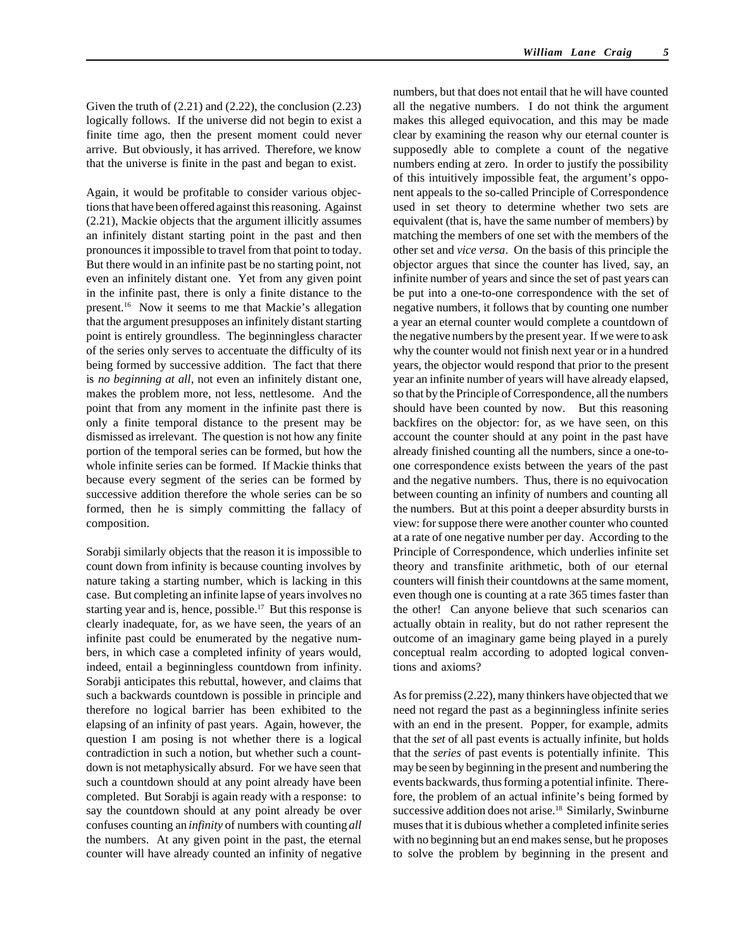Given the truth of (2.21) and (2.22), the conclusion (2.23) logically follows. If the universe did not begin to exist a finite time ago, then the present moment could never arrive. But obviously, it has arrived. Therefore, we know that the universe is finite in the past and began to exist.

Again, it would be profitable to consider various objections that have been offered against this reasoning. Against (2.21), Mackie objects that the argument illicitly assumes an infinitely distant starting point in the past and then pronounces it impossible to travel from that point to today. But there would in an infinite past be no starting point, not even an infinitely distant one. Yet from any given point in the infinite past, there is only a finite distance to the present.16 Now it seems to me that Mackie's allegation that the argument presupposes an infinitely distant starting point is entirely groundless. The beginningless character of the series only serves to accentuate the difficulty of its being formed by successive addition. The fact that there is *no beginning at all*, not even an infinitely distant one, makes the problem more, not less, nettlesome. And the point that from any moment in the infinite past there is only a finite temporal distance to the present may be dismissed as irrelevant. The question is not how any finite portion of the temporal series can be formed, but how the whole infinite series can be formed. If Mackie thinks that because every segment of the series can be formed by successive addition therefore the whole series can be so formed, then he is simply committing the fallacy of composition.

Sorabji similarly objects that the reason it is impossible to count down from infinity is because counting involves by nature taking a starting number, which is lacking in this case. But completing an infinite lapse of years involves no starting year and is, hence, possible.<sup>17</sup> But this response is clearly inadequate, for, as we have seen, the years of an infinite past could be enumerated by the negative numbers, in which case a completed infinity of years would, indeed, entail a beginningless countdown from infinity. Sorabji anticipates this rebuttal, however, and claims that such a backwards countdown is possible in principle and therefore no logical barrier has been exhibited to the elapsing of an infinity of past years. Again, however, the question I am posing is not whether there is a logical contradiction in such a notion, but whether such a countdown is not metaphysically absurd. For we have seen that such a countdown should at any point already have been completed. But Sorabji is again ready with a response: to say the countdown should at any point already be over confuses counting an *infinity* of numbers with counting *all* the numbers. At any given point in the past, the eternal counter will have already counted an infinity of negative numbers, but that does not entail that he will have counted all the negative numbers. I do not think the argument makes this alleged equivocation, and this may be made clear by examining the reason why our eternal counter is supposedly able to complete a count of the negative numbers ending at zero. In order to justify the possibility of this intuitively impossible feat, the argument's opponent appeals to the so-called Principle of Correspondence used in set theory to determine whether two sets are equivalent (that is, have the same number of members) by matching the members of one set with the members of the other set and *vice versa*. On the basis of this principle the objector argues that since the counter has lived, say, an infinite number of years and since the set of past years can be put into a one-to-one correspondence with the set of negative numbers, it follows that by counting one number a year an eternal counter would complete a countdown of the negative numbers by the present year. If we were to ask why the counter would not finish next year or in a hundred years, the objector would respond that prior to the present year an infinite number of years will have already elapsed, so that by the Principle of Correspondence, all the numbers should have been counted by now. But this reasoning backfires on the objector: for, as we have seen, on this account the counter should at any point in the past have already finished counting all the numbers, since a one-toone correspondence exists between the years of the past and the negative numbers. Thus, there is no equivocation between counting an infinity of numbers and counting all the numbers. But at this point a deeper absurdity bursts in view: for suppose there were another counter who counted at a rate of one negative number per day. According to the Principle of Correspondence, which underlies infinite set theory and transfinite arithmetic, both of our eternal counters will finish their countdowns at the same moment, even though one is counting at a rate 365 times faster than the other! Can anyone believe that such scenarios can actually obtain in reality, but do not rather represent the outcome of an imaginary game being played in a purely conceptual realm according to adopted logical conventions and axioms?

As for premiss (2.22), many thinkers have objected that we need not regard the past as a beginningless infinite series with an end in the present. Popper, for example, admits that the *set* of all past events is actually infinite, but holds that the *series* of past events is potentially infinite. This may be seen by beginning in the present and numbering the events backwards, thus forming a potential infinite. Therefore, the problem of an actual infinite's being formed by successive addition does not arise.<sup>18</sup> Similarly, Swinburne muses that it is dubious whether a completed infinite series with no beginning but an end makes sense, but he proposes to solve the problem by beginning in the present and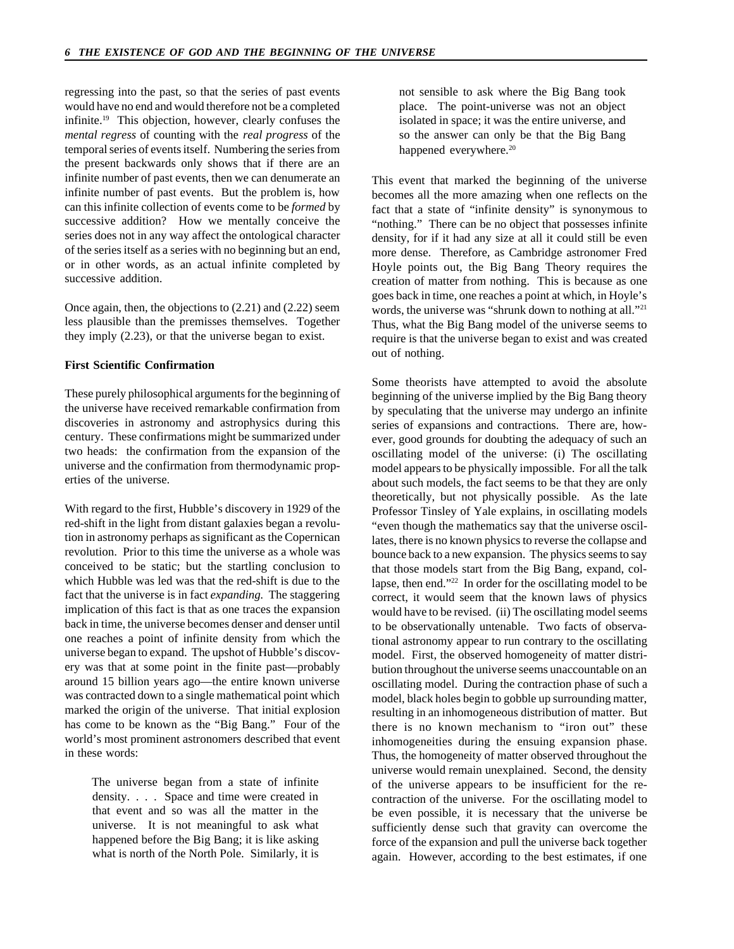regressing into the past, so that the series of past events would have no end and would therefore not be a completed infinite.19 This objection, however, clearly confuses the *mental regress* of counting with the *real progress* of the temporal series of events itself. Numbering the series from the present backwards only shows that if there are an infinite number of past events, then we can denumerate an infinite number of past events. But the problem is, how can this infinite collection of events come to be *formed* by successive addition? How we mentally conceive the series does not in any way affect the ontological character of the series itself as a series with no beginning but an end, or in other words, as an actual infinite completed by successive addition.

Once again, then, the objections to (2.21) and (2.22) seem less plausible than the premisses themselves. Together they imply (2.23), or that the universe began to exist.

#### **First Scientific Confirmation**

These purely philosophical arguments for the beginning of the universe have received remarkable confirmation from discoveries in astronomy and astrophysics during this century. These confirmations might be summarized under two heads: the confirmation from the expansion of the universe and the confirmation from thermodynamic properties of the universe.

With regard to the first, Hubble's discovery in 1929 of the red-shift in the light from distant galaxies began a revolution in astronomy perhaps as significant as the Copernican revolution. Prior to this time the universe as a whole was conceived to be static; but the startling conclusion to which Hubble was led was that the red-shift is due to the fact that the universe is in fact *expanding*. The staggering implication of this fact is that as one traces the expansion back in time, the universe becomes denser and denser until one reaches a point of infinite density from which the universe began to expand. The upshot of Hubble's discovery was that at some point in the finite past—probably around 15 billion years ago—the entire known universe was contracted down to a single mathematical point which marked the origin of the universe. That initial explosion has come to be known as the "Big Bang." Four of the world's most prominent astronomers described that event in these words:

The universe began from a state of infinite density. . . . Space and time were created in that event and so was all the matter in the universe. It is not meaningful to ask what happened before the Big Bang; it is like asking what is north of the North Pole. Similarly, it is not sensible to ask where the Big Bang took place. The point-universe was not an object isolated in space; it was the entire universe, and so the answer can only be that the Big Bang happened everywhere.<sup>20</sup>

This event that marked the beginning of the universe becomes all the more amazing when one reflects on the fact that a state of "infinite density" is synonymous to "nothing." There can be no object that possesses infinite density, for if it had any size at all it could still be even more dense. Therefore, as Cambridge astronomer Fred Hoyle points out, the Big Bang Theory requires the creation of matter from nothing. This is because as one goes back in time, one reaches a point at which, in Hoyle's words, the universe was "shrunk down to nothing at all."<sup>21</sup> Thus, what the Big Bang model of the universe seems to require is that the universe began to exist and was created out of nothing.

Some theorists have attempted to avoid the absolute beginning of the universe implied by the Big Bang theory by speculating that the universe may undergo an infinite series of expansions and contractions. There are, however, good grounds for doubting the adequacy of such an oscillating model of the universe: (i) The oscillating model appears to be physically impossible. For all the talk about such models, the fact seems to be that they are only theoretically, but not physically possible. As the late Professor Tinsley of Yale explains, in oscillating models "even though the mathematics say that the universe oscillates, there is no known physics to reverse the collapse and bounce back to a new expansion. The physics seems to say that those models start from the Big Bang, expand, collapse, then end."22 In order for the oscillating model to be correct, it would seem that the known laws of physics would have to be revised. (ii) The oscillating model seems to be observationally untenable. Two facts of observational astronomy appear to run contrary to the oscillating model. First, the observed homogeneity of matter distribution throughout the universe seems unaccountable on an oscillating model. During the contraction phase of such a model, black holes begin to gobble up surrounding matter, resulting in an inhomogeneous distribution of matter. But there is no known mechanism to "iron out" these inhomogeneities during the ensuing expansion phase. Thus, the homogeneity of matter observed throughout the universe would remain unexplained. Second, the density of the universe appears to be insufficient for the recontraction of the universe. For the oscillating model to be even possible, it is necessary that the universe be sufficiently dense such that gravity can overcome the force of the expansion and pull the universe back together again. However, according to the best estimates, if one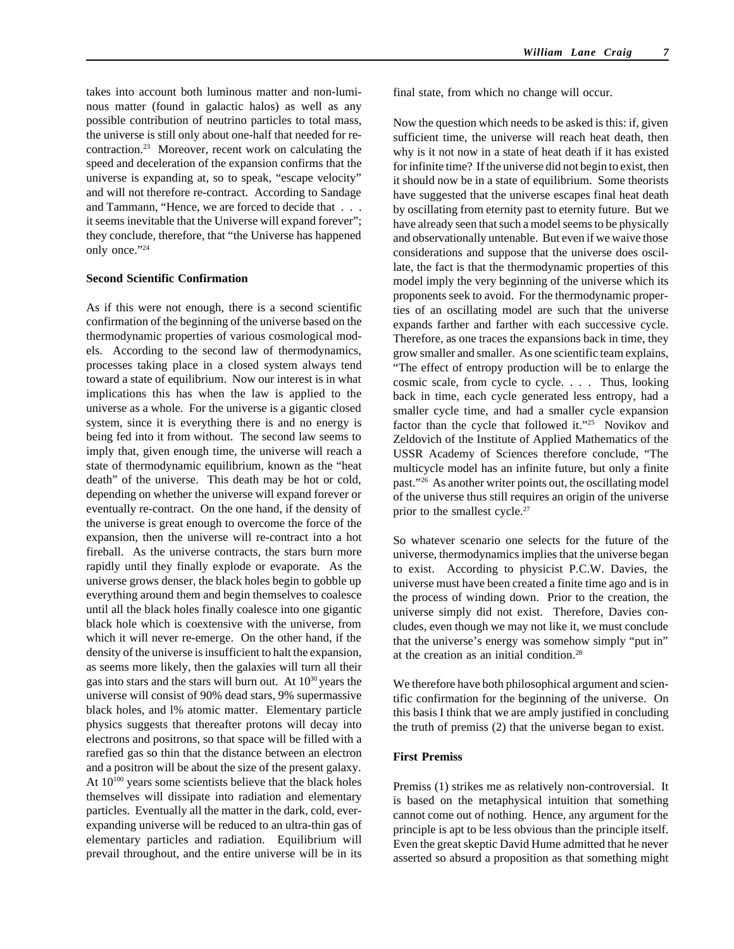takes into account both luminous matter and non-luminous matter (found in galactic halos) as well as any possible contribution of neutrino particles to total mass, the universe is still only about one-half that needed for recontraction.23 Moreover, recent work on calculating the speed and deceleration of the expansion confirms that the universe is expanding at, so to speak, "escape velocity" and will not therefore re-contract. According to Sandage and Tammann, "Hence, we are forced to decide that . . . it seems inevitable that the Universe will expand forever"; they conclude, therefore, that "the Universe has happened only once."24

#### **Second Scientific Confirmation**

As if this were not enough, there is a second scientific confirmation of the beginning of the universe based on the thermodynamic properties of various cosmological models. According to the second law of thermodynamics, processes taking place in a closed system always tend toward a state of equilibrium. Now our interest is in what implications this has when the law is applied to the universe as a whole. For the universe is a gigantic closed system, since it is everything there is and no energy is being fed into it from without. The second law seems to imply that, given enough time, the universe will reach a state of thermodynamic equilibrium, known as the "heat death" of the universe. This death may be hot or cold, depending on whether the universe will expand forever or eventually re-contract. On the one hand, if the density of the universe is great enough to overcome the force of the expansion, then the universe will re-contract into a hot fireball. As the universe contracts, the stars burn more rapidly until they finally explode or evaporate. As the universe grows denser, the black holes begin to gobble up everything around them and begin themselves to coalesce until all the black holes finally coalesce into one gigantic black hole which is coextensive with the universe, from which it will never re-emerge. On the other hand, if the density of the universe is insufficient to halt the expansion, as seems more likely, then the galaxies will turn all their gas into stars and the stars will burn out. At  $10^{30}$  years the universe will consist of 90% dead stars, 9% supermassive black holes, and l% atomic matter. Elementary particle physics suggests that thereafter protons will decay into electrons and positrons, so that space will be filled with a rarefied gas so thin that the distance between an electron and a positron will be about the size of the present galaxy. At  $10^{100}$  years some scientists believe that the black holes themselves will dissipate into radiation and elementary particles. Eventually all the matter in the dark, cold, everexpanding universe will be reduced to an ultra-thin gas of elementary particles and radiation. Equilibrium will prevail throughout, and the entire universe will be in its

final state, from which no change will occur.

Now the question which needs to be asked is this: if, given sufficient time, the universe will reach heat death, then why is it not now in a state of heat death if it has existed for infinite time? If the universe did not begin to exist, then it should now be in a state of equilibrium. Some theorists have suggested that the universe escapes final heat death by oscillating from eternity past to eternity future. But we have already seen that such a model seems to be physically and observationally untenable. But even if we waive those considerations and suppose that the universe does oscillate, the fact is that the thermodynamic properties of this model imply the very beginning of the universe which its proponents seek to avoid. For the thermodynamic properties of an oscillating model are such that the universe expands farther and farther with each successive cycle. Therefore, as one traces the expansions back in time, they grow smaller and smaller. As one scientific team explains, "The effect of entropy production will be to enlarge the cosmic scale, from cycle to cycle. . . . Thus, looking back in time, each cycle generated less entropy, had a smaller cycle time, and had a smaller cycle expansion factor than the cycle that followed it."25 Novikov and Zeldovich of the Institute of Applied Mathematics of the USSR Academy of Sciences therefore conclude, "The multicycle model has an infinite future, but only a finite past."26 As another writer points out, the oscillating model of the universe thus still requires an origin of the universe prior to the smallest cycle.27

So whatever scenario one selects for the future of the universe, thermodynamics implies that the universe began to exist. According to physicist P.C.W. Davies, the universe must have been created a finite time ago and is in the process of winding down. Prior to the creation, the universe simply did not exist. Therefore, Davies concludes, even though we may not like it, we must conclude that the universe's energy was somehow simply "put in" at the creation as an initial condition.28

We therefore have both philosophical argument and scientific confirmation for the beginning of the universe. On this basis I think that we are amply justified in concluding the truth of premiss (2) that the universe began to exist.

#### **First Premiss**

Premiss (1) strikes me as relatively non-controversial. It is based on the metaphysical intuition that something cannot come out of nothing. Hence, any argument for the principle is apt to be less obvious than the principle itself. Even the great skeptic David Hume admitted that he never asserted so absurd a proposition as that something might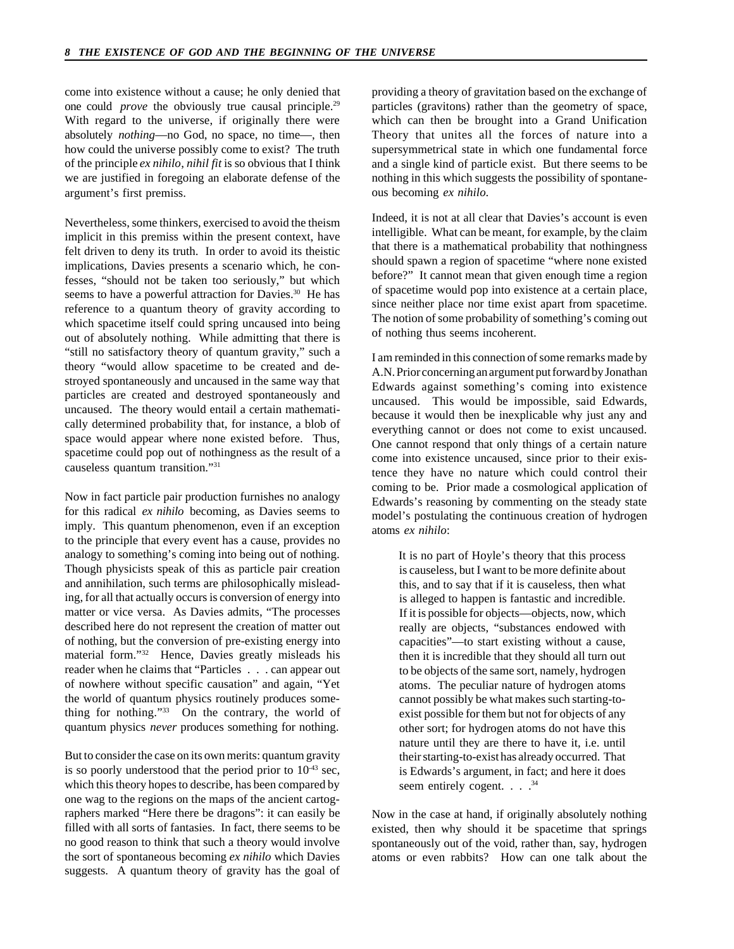come into existence without a cause; he only denied that one could *prove* the obviously true causal principle.29 With regard to the universe, if originally there were absolutely *nothing*—no God, no space, no time—, then how could the universe possibly come to exist? The truth of the principle *ex nihilo*, *nihil fit* is so obvious that I think we are justified in foregoing an elaborate defense of the argument's first premiss.

Nevertheless, some thinkers, exercised to avoid the theism implicit in this premiss within the present context, have felt driven to deny its truth. In order to avoid its theistic implications, Davies presents a scenario which, he confesses, "should not be taken too seriously," but which seems to have a powerful attraction for Davies.<sup>30</sup> He has reference to a quantum theory of gravity according to which spacetime itself could spring uncaused into being out of absolutely nothing. While admitting that there is "still no satisfactory theory of quantum gravity," such a theory "would allow spacetime to be created and destroyed spontaneously and uncaused in the same way that particles are created and destroyed spontaneously and uncaused. The theory would entail a certain mathematically determined probability that, for instance, a blob of space would appear where none existed before. Thus, spacetime could pop out of nothingness as the result of a causeless quantum transition."31

Now in fact particle pair production furnishes no analogy for this radical *ex nihilo* becoming, as Davies seems to imply. This quantum phenomenon, even if an exception to the principle that every event has a cause, provides no analogy to something's coming into being out of nothing. Though physicists speak of this as particle pair creation and annihilation, such terms are philosophically misleading, for all that actually occurs is conversion of energy into matter or vice versa. As Davies admits, "The processes described here do not represent the creation of matter out of nothing, but the conversion of pre-existing energy into material form."32 Hence, Davies greatly misleads his reader when he claims that "Particles . . . can appear out of nowhere without specific causation" and again, "Yet the world of quantum physics routinely produces something for nothing."33 On the contrary, the world of quantum physics *never* produces something for nothing.

But to consider the case on its own merits: quantum gravity is so poorly understood that the period prior to  $10^{-43}$  sec, which this theory hopes to describe, has been compared by one wag to the regions on the maps of the ancient cartographers marked "Here there be dragons": it can easily be filled with all sorts of fantasies. In fact, there seems to be no good reason to think that such a theory would involve the sort of spontaneous becoming *ex nihilo* which Davies suggests. A quantum theory of gravity has the goal of providing a theory of gravitation based on the exchange of particles (gravitons) rather than the geometry of space, which can then be brought into a Grand Unification Theory that unites all the forces of nature into a supersymmetrical state in which one fundamental force and a single kind of particle exist. But there seems to be nothing in this which suggests the possibility of spontaneous becoming *ex nihilo*.

Indeed, it is not at all clear that Davies's account is even intelligible. What can be meant, for example, by the claim that there is a mathematical probability that nothingness should spawn a region of spacetime "where none existed before?" It cannot mean that given enough time a region of spacetime would pop into existence at a certain place, since neither place nor time exist apart from spacetime. The notion of some probability of something's coming out of nothing thus seems incoherent.

I am reminded in this connection of some remarks made by A.N. Prior concerning an argument put forward by Jonathan Edwards against something's coming into existence uncaused. This would be impossible, said Edwards, because it would then be inexplicable why just any and everything cannot or does not come to exist uncaused. One cannot respond that only things of a certain nature come into existence uncaused, since prior to their existence they have no nature which could control their coming to be. Prior made a cosmological application of Edwards's reasoning by commenting on the steady state model's postulating the continuous creation of hydrogen atoms *ex nihilo*:

It is no part of Hoyle's theory that this process is causeless, but I want to be more definite about this, and to say that if it is causeless, then what is alleged to happen is fantastic and incredible. If it is possible for objects—objects, now, which really are objects, "substances endowed with capacities"—to start existing without a cause, then it is incredible that they should all turn out to be objects of the same sort, namely, hydrogen atoms. The peculiar nature of hydrogen atoms cannot possibly be what makes such starting-toexist possible for them but not for objects of any other sort; for hydrogen atoms do not have this nature until they are there to have it, i.e. until their starting-to-exist has already occurred. That is Edwards's argument, in fact; and here it does seem entirely cogent. . . .<sup>34</sup>

Now in the case at hand, if originally absolutely nothing existed, then why should it be spacetime that springs spontaneously out of the void, rather than, say, hydrogen atoms or even rabbits? How can one talk about the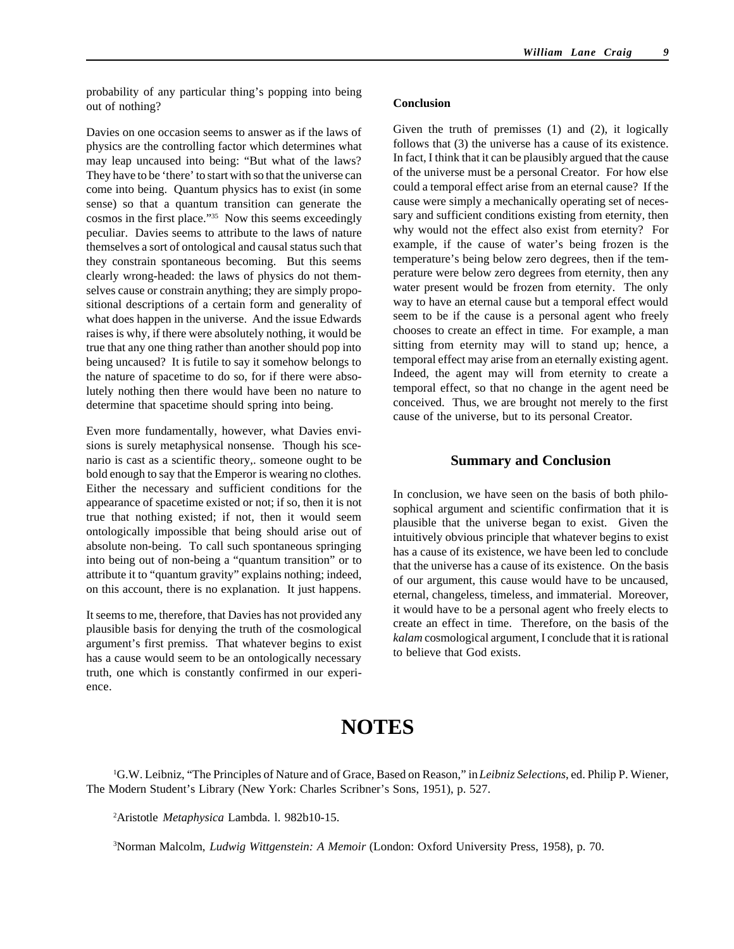probability of any particular thing's popping into being out of nothing?

Davies on one occasion seems to answer as if the laws of physics are the controlling factor which determines what may leap uncaused into being: "But what of the laws? They have to be 'there' to start with so that the universe can come into being. Quantum physics has to exist (in some sense) so that a quantum transition can generate the cosmos in the first place."35 Now this seems exceedingly peculiar. Davies seems to attribute to the laws of nature themselves a sort of ontological and causal status such that they constrain spontaneous becoming. But this seems clearly wrong-headed: the laws of physics do not themselves cause or constrain anything; they are simply propositional descriptions of a certain form and generality of what does happen in the universe. And the issue Edwards raises is why, if there were absolutely nothing, it would be true that any one thing rather than another should pop into being uncaused? It is futile to say it somehow belongs to the nature of spacetime to do so, for if there were absolutely nothing then there would have been no nature to determine that spacetime should spring into being.

Even more fundamentally, however, what Davies envisions is surely metaphysical nonsense. Though his scenario is cast as a scientific theory,. someone ought to be bold enough to say that the Emperor is wearing no clothes. Either the necessary and sufficient conditions for the appearance of spacetime existed or not; if so, then it is not true that nothing existed; if not, then it would seem ontologically impossible that being should arise out of absolute non-being. To call such spontaneous springing into being out of non-being a "quantum transition" or to attribute it to "quantum gravity" explains nothing; indeed, on this account, there is no explanation. It just happens.

It seems to me, therefore, that Davies has not provided any plausible basis for denying the truth of the cosmological argument's first premiss. That whatever begins to exist has a cause would seem to be an ontologically necessary truth, one which is constantly confirmed in our experience.

#### **Conclusion**

Given the truth of premisses (1) and (2), it logically follows that (3) the universe has a cause of its existence. In fact, I think that it can be plausibly argued that the cause of the universe must be a personal Creator. For how else could a temporal effect arise from an eternal cause? If the cause were simply a mechanically operating set of necessary and sufficient conditions existing from eternity, then why would not the effect also exist from eternity? For example, if the cause of water's being frozen is the temperature's being below zero degrees, then if the temperature were below zero degrees from eternity, then any water present would be frozen from eternity. The only way to have an eternal cause but a temporal effect would seem to be if the cause is a personal agent who freely chooses to create an effect in time. For example, a man sitting from eternity may will to stand up; hence, a temporal effect may arise from an eternally existing agent. Indeed, the agent may will from eternity to create a temporal effect, so that no change in the agent need be conceived. Thus, we are brought not merely to the first cause of the universe, but to its personal Creator.

#### **Summary and Conclusion**

In conclusion, we have seen on the basis of both philosophical argument and scientific confirmation that it is plausible that the universe began to exist. Given the intuitively obvious principle that whatever begins to exist has a cause of its existence, we have been led to conclude that the universe has a cause of its existence. On the basis of our argument, this cause would have to be uncaused, eternal, changeless, timeless, and immaterial. Moreover, it would have to be a personal agent who freely elects to create an effect in time. Therefore, on the basis of the *kalam* cosmological argument, I conclude that it is rational to believe that God exists.

### **NOTES**

1 G.W. Leibniz, "The Principles of Nature and of Grace, Based on Reason," in *Leibniz Selections*, ed. Philip P. Wiener, The Modern Student's Library (New York: Charles Scribner's Sons, 1951), p. 527.

2 Aristotle *Metaphysica* Lambda. l. 982b10-15.

3 Norman Malcolm, *Ludwig Wittgenstein: A Memoir* (London: Oxford University Press, 1958), p. 70.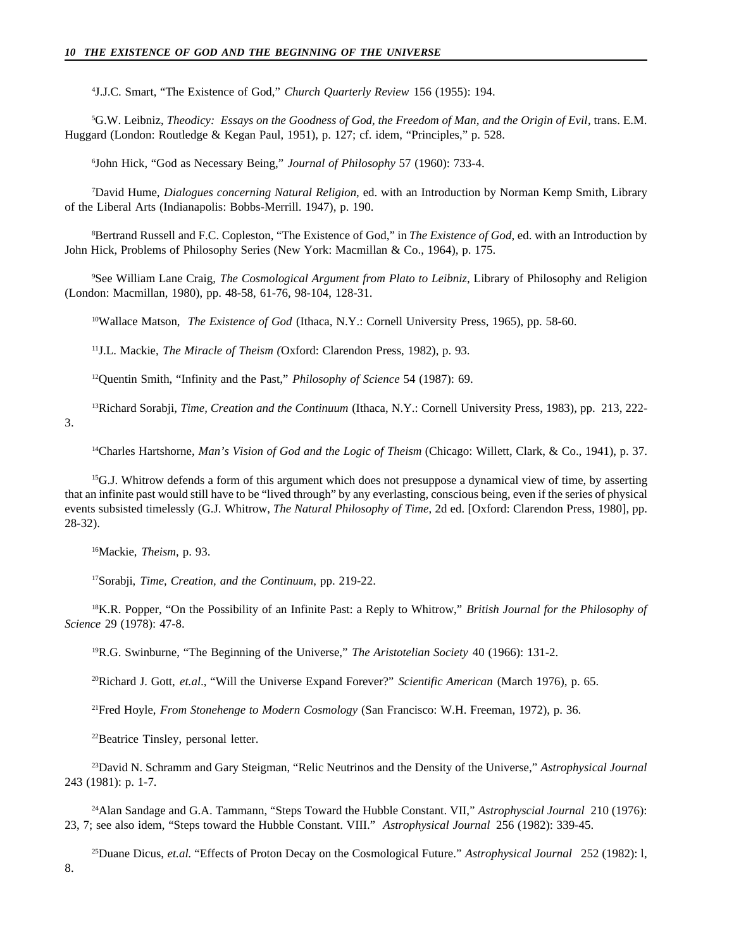4 J.J.C. Smart, "The Existence of God," *Church Quarterly Review* 156 (1955): 194.

5 G.W. Leibniz, *Theodicy: Essays on the Goodness of God, the Freedom of Man, and the Origin of Evil*, trans. E.M. Huggard (London: Routledge & Kegan Paul, 1951), p. 127; cf. idem, "Principles," p. 528.

6 John Hick, "God as Necessary Being," *Journal of Philosophy* 57 (1960): 733-4.

7 David Hume, *Dialogues concerning Natural Religion*, ed. with an Introduction by Norman Kemp Smith, Library of the Liberal Arts (Indianapolis: Bobbs-Merrill. 1947), p. 190.

8 Bertrand Russell and F.C. Copleston, "The Existence of God," in *The Existence of God*, ed. with an Introduction by John Hick, Problems of Philosophy Series (New York: Macmillan & Co., 1964), p. 175.

9 See William Lane Craig, *The Cosmological Argument from Plato to Leibniz*, Library of Philosophy and Religion (London: Macmillan, 1980), pp. 48-58, 61-76, 98-104, 128-31.

10Wallace Matson, *The Existence of God* (Ithaca, N.Y.: Cornell University Press, 1965), pp. 58-60.

11J.L. Mackie, *The Miracle of Theism (*Oxford: Clarendon Press, 1982), p. 93.

12Quentin Smith, "Infinity and the Past," *Philosophy of Science* 54 (1987): 69.

13Richard Sorabji, *Time, Creation and the Continuum* (Ithaca, N.Y.: Cornell University Press, 1983), pp. 213, 222- 3.

14Charles Hartshorne, *Man's Vision of God and the Logic of Theism* (Chicago: Willett, Clark, & Co., 1941), p. 37.

<sup>15</sup>G.J. Whitrow defends a form of this argument which does not presuppose a dynamical view of time, by asserting that an infinite past would still have to be "lived through" by any everlasting, conscious being, even if the series of physical events subsisted timelessly (G.J. Whitrow, *The Natural Philosophy of Time*, 2d ed. [Oxford: Clarendon Press, 1980], pp. 28-32).

16Mackie, *Theism*, p. 93.

17Sorabji, *Time, Creation, and the Continuum*, pp. 219-22.

18K.R. Popper, "On the Possibility of an Infinite Past: a Reply to Whitrow," *British Journal for the Philosophy of Science* 29 (1978): 47-8.

19R.G. Swinburne, "The Beginning of the Universe," *The Aristotelian Society* 40 (1966): 131-2.

20Richard J. Gott, *et.al.*, "Will the Universe Expand Forever?" *Scientific American* (March 1976), p. 65.

21Fred Hoyle, *From Stonehenge to Modern Cosmology* (San Francisco: W.H. Freeman, 1972), p. 36.

22Beatrice Tinsley, personal letter.

23David N. Schramm and Gary Steigman, "Relic Neutrinos and the Density of the Universe," *Astrophysical Journal* 243 (1981): p. 1-7.

24Alan Sandage and G.A. Tammann, "Steps Toward the Hubble Constant. VII," *Astrophyscial Journal* 210 (1976): 23, 7; see also idem, "Steps toward the Hubble Constant. VIII." *Astrophysical Journal* 256 (1982): 339-45.

25Duane Dicus, *et.al.* "Effects of Proton Decay on the Cosmological Future." *Astrophysical Journal* 252 (1982): l,